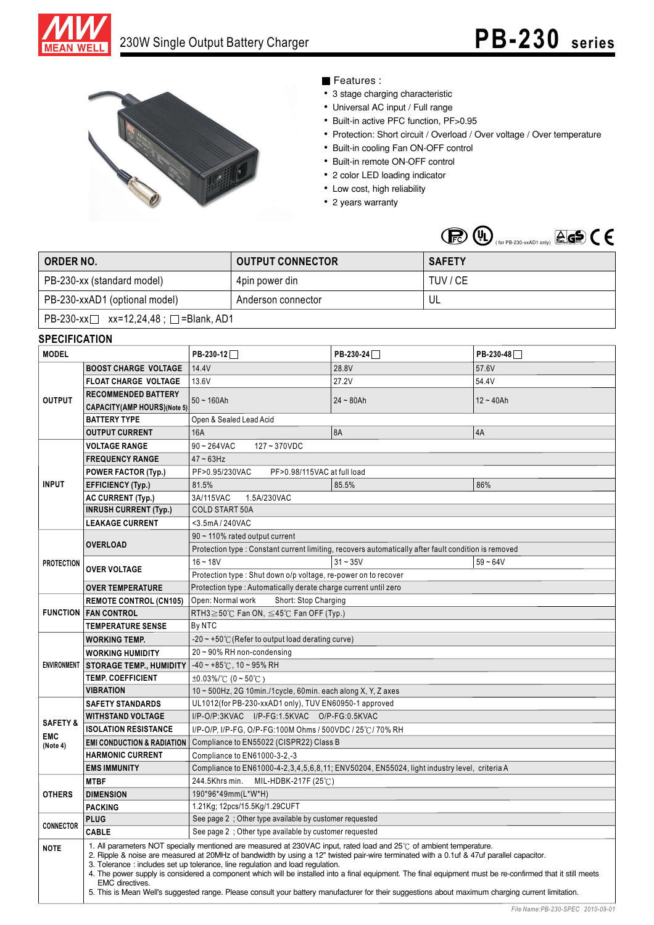



## Features :

- 3 stage charging characteristic
- Universal AC input / Full range
- Built-in active PFC function, PF>0.95
- Protection: Short circuit / Overload / Over voltage / Over temperature
- Built-in cooling Fan ON-OFF control
- Built-in remote ON-OFF control
- 2 color LED loading indicator
- Low cost, high reliability
- 2 years warranty

|  | $\bigoplus$ $\bigoplus$ $\bigoplus$ $\bigoplus$ (for PB-230-xxAD1 only) $\bigoplus$ $\bigoplus$ $\bigoplus$ |  |  |  |
|--|-------------------------------------------------------------------------------------------------------------|--|--|--|
|--|-------------------------------------------------------------------------------------------------------------|--|--|--|

| ORDER NO.                                        | <b>OUTPUT CONNECTOR</b> | <b>SAFETY</b> |  |  |  |
|--------------------------------------------------|-------------------------|---------------|--|--|--|
| PB-230-xx (standard model)                       | 4pin power din          | TUV / CE      |  |  |  |
| PB-230-xxAD1 (optional model)                    | Anderson connector      | UL            |  |  |  |
| PB-230-xx $\Box$ xx=12,24,48; $\Box$ =Blank, AD1 |                         |               |  |  |  |

## **SPECIFICATION**

| <b>MODEL</b>        |                                                                                                                                                                                                                                                                                                                                                                                                                                                                                                                                                                                                                                                                                               | PB-230-12                                                                                                                                          | PB-230-24   | PB-230-48   |  |  |
|---------------------|-----------------------------------------------------------------------------------------------------------------------------------------------------------------------------------------------------------------------------------------------------------------------------------------------------------------------------------------------------------------------------------------------------------------------------------------------------------------------------------------------------------------------------------------------------------------------------------------------------------------------------------------------------------------------------------------------|----------------------------------------------------------------------------------------------------------------------------------------------------|-------------|-------------|--|--|
| <b>OUTPUT</b>       | <b>BOOST CHARGE VOLTAGE</b>                                                                                                                                                                                                                                                                                                                                                                                                                                                                                                                                                                                                                                                                   | 14.4V                                                                                                                                              | 28.8V       | 57.6V       |  |  |
|                     | <b>FLOAT CHARGE VOLTAGE</b>                                                                                                                                                                                                                                                                                                                                                                                                                                                                                                                                                                                                                                                                   | 13.6V                                                                                                                                              | 27.2V       | 54.4V       |  |  |
|                     | <b>RECOMMENDED BATTERY</b><br><b>CAPACITY(AMP HOURS)(Note 5)</b>                                                                                                                                                                                                                                                                                                                                                                                                                                                                                                                                                                                                                              | $50 - 160$ Ah                                                                                                                                      | $24 - 80Ah$ | $12 - 40Ah$ |  |  |
|                     | <b>BATTERY TYPE</b>                                                                                                                                                                                                                                                                                                                                                                                                                                                                                                                                                                                                                                                                           | Open & Sealed Lead Acid                                                                                                                            |             |             |  |  |
|                     | <b>OUTPUT CURRENT</b>                                                                                                                                                                                                                                                                                                                                                                                                                                                                                                                                                                                                                                                                         | <b>16A</b>                                                                                                                                         | <b>8A</b>   | 4A          |  |  |
|                     | <b>VOLTAGE RANGE</b>                                                                                                                                                                                                                                                                                                                                                                                                                                                                                                                                                                                                                                                                          | $90 - 264$ VAC<br>127~370VDC                                                                                                                       |             |             |  |  |
|                     | <b>FREQUENCY RANGE</b>                                                                                                                                                                                                                                                                                                                                                                                                                                                                                                                                                                                                                                                                        | $47 - 63$ Hz                                                                                                                                       |             |             |  |  |
|                     | <b>POWER FACTOR (Typ.)</b>                                                                                                                                                                                                                                                                                                                                                                                                                                                                                                                                                                                                                                                                    | PF>0.95/230VAC<br>PF>0.98/115VAC at full load                                                                                                      |             |             |  |  |
| <b>INPUT</b>        | <b>EFFICIENCY (Typ.)</b>                                                                                                                                                                                                                                                                                                                                                                                                                                                                                                                                                                                                                                                                      | 81.5%                                                                                                                                              | 85.5%       | 86%         |  |  |
|                     | <b>AC CURRENT (Typ.)</b>                                                                                                                                                                                                                                                                                                                                                                                                                                                                                                                                                                                                                                                                      | 3A/115VAC<br>1.5A/230VAC                                                                                                                           |             |             |  |  |
|                     | <b>INRUSH CURRENT (Typ.)</b>                                                                                                                                                                                                                                                                                                                                                                                                                                                                                                                                                                                                                                                                  | <b>COLD START 50A</b>                                                                                                                              |             |             |  |  |
|                     | <b>LEAKAGE CURRENT</b>                                                                                                                                                                                                                                                                                                                                                                                                                                                                                                                                                                                                                                                                        | <3.5mA/240VAC                                                                                                                                      |             |             |  |  |
|                     |                                                                                                                                                                                                                                                                                                                                                                                                                                                                                                                                                                                                                                                                                               | 90 ~ 110% rated output current                                                                                                                     |             |             |  |  |
|                     | <b>OVERLOAD</b>                                                                                                                                                                                                                                                                                                                                                                                                                                                                                                                                                                                                                                                                               | Protection type : Constant current limiting, recovers automatically after fault condition is removed                                               |             |             |  |  |
| <b>PROTECTION</b>   |                                                                                                                                                                                                                                                                                                                                                                                                                                                                                                                                                                                                                                                                                               | $16 - 18V$                                                                                                                                         | $31 - 35V$  | $59 - 64V$  |  |  |
|                     | <b>OVER VOLTAGE</b>                                                                                                                                                                                                                                                                                                                                                                                                                                                                                                                                                                                                                                                                           | Protection type: Shut down o/p voltage, re-power on to recover                                                                                     |             |             |  |  |
|                     | <b>OVER TEMPERATURE</b>                                                                                                                                                                                                                                                                                                                                                                                                                                                                                                                                                                                                                                                                       | Protection type: Automatically derate charge current until zero                                                                                    |             |             |  |  |
|                     | <b>REMOTE CONTROL (CN105)</b>                                                                                                                                                                                                                                                                                                                                                                                                                                                                                                                                                                                                                                                                 | Open: Normal work<br>Short: Stop Charging                                                                                                          |             |             |  |  |
|                     | <b>FUNCTION   FAN CONTROL</b>                                                                                                                                                                                                                                                                                                                                                                                                                                                                                                                                                                                                                                                                 | RTH3 $\geq$ 50°C Fan ON, $\leq$ 45°C Fan OFF (Typ.)                                                                                                |             |             |  |  |
|                     | By NTC<br><b>TEMPERATURE SENSE</b>                                                                                                                                                                                                                                                                                                                                                                                                                                                                                                                                                                                                                                                            |                                                                                                                                                    |             |             |  |  |
|                     | <b>WORKING TEMP.</b>                                                                                                                                                                                                                                                                                                                                                                                                                                                                                                                                                                                                                                                                          | $-20 \sim +50^{\circ}$ (Refer to output load derating curve)                                                                                       |             |             |  |  |
|                     | <b>WORKING HUMIDITY</b>                                                                                                                                                                                                                                                                                                                                                                                                                                                                                                                                                                                                                                                                       | $20 \sim 90\%$ RH non-condensing                                                                                                                   |             |             |  |  |
| <b>ENVIRONMENT</b>  | <b>STORAGE TEMP., HUMIDITY</b>                                                                                                                                                                                                                                                                                                                                                                                                                                                                                                                                                                                                                                                                | $-40 \sim +85^{\circ}$ C, 10 ~ 95% RH                                                                                                              |             |             |  |  |
|                     | <b>TEMP. COEFFICIENT</b>                                                                                                                                                                                                                                                                                                                                                                                                                                                                                                                                                                                                                                                                      | $\pm 0.03\%$ (°C (0 ~ 50°C)                                                                                                                        |             |             |  |  |
|                     | VIBRATION                                                                                                                                                                                                                                                                                                                                                                                                                                                                                                                                                                                                                                                                                     | 10 ~ 500Hz, 2G 10min./1cycle, 60min. each along X, Y, Z axes                                                                                       |             |             |  |  |
|                     | <b>SAFETY STANDARDS</b>                                                                                                                                                                                                                                                                                                                                                                                                                                                                                                                                                                                                                                                                       | UL1012(for PB-230-xxAD1 only), TUV EN60950-1 approved                                                                                              |             |             |  |  |
| <b>SAFETY &amp;</b> | <b>WITHSTAND VOLTAGE</b>                                                                                                                                                                                                                                                                                                                                                                                                                                                                                                                                                                                                                                                                      | I/P-O/P:3KVAC I/P-FG:1.5KVAC O/P-FG:0.5KVAC<br>I/P-O/P, I/P-FG, O/P-FG:100M Ohms / 500VDC / 25°C/70% RH<br>Compliance to EN55022 (CISPR22) Class B |             |             |  |  |
| <b>EMC</b>          | <b>ISOLATION RESISTANCE</b>                                                                                                                                                                                                                                                                                                                                                                                                                                                                                                                                                                                                                                                                   |                                                                                                                                                    |             |             |  |  |
| (Note 4)            | <b>EMI CONDUCTION &amp; RADIATION</b>                                                                                                                                                                                                                                                                                                                                                                                                                                                                                                                                                                                                                                                         |                                                                                                                                                    |             |             |  |  |
|                     | <b>HARMONIC CURRENT</b>                                                                                                                                                                                                                                                                                                                                                                                                                                                                                                                                                                                                                                                                       | Compliance to EN61000-3-2,-3                                                                                                                       |             |             |  |  |
|                     | <b>EMS IMMUNITY</b>                                                                                                                                                                                                                                                                                                                                                                                                                                                                                                                                                                                                                                                                           | Compliance to EN61000-4-2,3,4,5,6,8,11; ENV50204, EN55024, light industry level, criteria A                                                        |             |             |  |  |
|                     | <b>MTBF</b>                                                                                                                                                                                                                                                                                                                                                                                                                                                                                                                                                                                                                                                                                   | 244.5Khrs min.<br>MIL-HDBK-217F (25℃)                                                                                                              |             |             |  |  |
| <b>OTHERS</b>       | <b>DIMENSION</b>                                                                                                                                                                                                                                                                                                                                                                                                                                                                                                                                                                                                                                                                              | 190*96*49mm(L*W*H)                                                                                                                                 |             |             |  |  |
|                     | <b>PACKING</b>                                                                                                                                                                                                                                                                                                                                                                                                                                                                                                                                                                                                                                                                                | 1.21Kg; 12pcs/15.5Kg/1.29CUFT                                                                                                                      |             |             |  |  |
| <b>CONNECTOR</b>    | <b>PLUG</b>                                                                                                                                                                                                                                                                                                                                                                                                                                                                                                                                                                                                                                                                                   | See page 2; Other type available by customer requested                                                                                             |             |             |  |  |
|                     | <b>CABLE</b>                                                                                                                                                                                                                                                                                                                                                                                                                                                                                                                                                                                                                                                                                  | See page 2 ; Other type available by customer requested                                                                                            |             |             |  |  |
| <b>NOTE</b>         | 1. All parameters NOT specially mentioned are measured at 230VAC input, rated load and 25°C of ambient temperature.<br>2. Ripple & noise are measured at 20MHz of bandwidth by using a 12" twisted pair-wire terminated with a 0.1uf & 47uf parallel capacitor.<br>3. Tolerance: includes set up tolerance, line regulation and load regulation.<br>4. The power supply is considered a component which will be installed into a final equipment. The final equipment must be re-confirmed that it still meets<br><b>EMC</b> directives.<br>5. This is Mean Well's suggested range. Please consult your battery manufacturer for their suggestions about maximum charging current limitation. |                                                                                                                                                    |             |             |  |  |